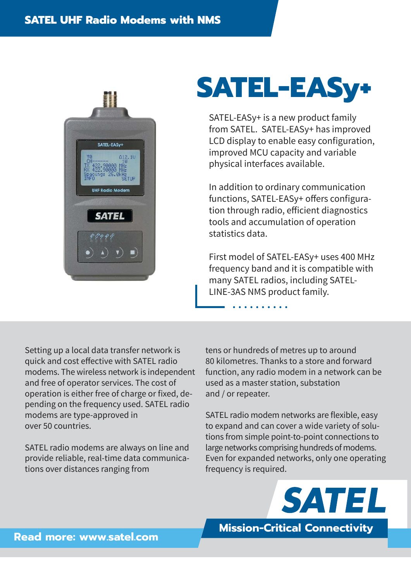

# **SATEL-EASy+**

SATEL-EASy+ is a new product family from SATEL. SATEL-EASy+ has improved LCD display to enable easy configuration, improved MCU capacity and variable physical interfaces available.

In addition to ordinary communication functions, SATEL-EASy+ offers configuration through radio, efficient diagnostics tools and accumulation of operation statistics data.

First model of SATEL-EASy+ uses 400 MHz frequency band and it is compatible with many SATEL radios, including SATEL-LINE-3AS NMS product family.

Setting up a local data transfer network is quick and cost effective with SATEL radio modems. The wireless network is independent and free of operator services. The cost of operation is either free of charge or fixed, depending on the frequency used. SATEL radio modems are type-approved in over 50 countries.

SATEL radio modems are always on line and provide reliable, real-time data communications over distances ranging from

tens or hundreds of metres up to around 80 kilometres. Thanks to a store and forward function, any radio modem in a network can be used as a master station, substation and / or repeater.

SATEL radio modem networks are flexible, easy to expand and can cover a wide variety of solutions from simple point-to-point connections to large networks comprising hundreds of modems. Even for expanded networks, only one operating frequency is required.